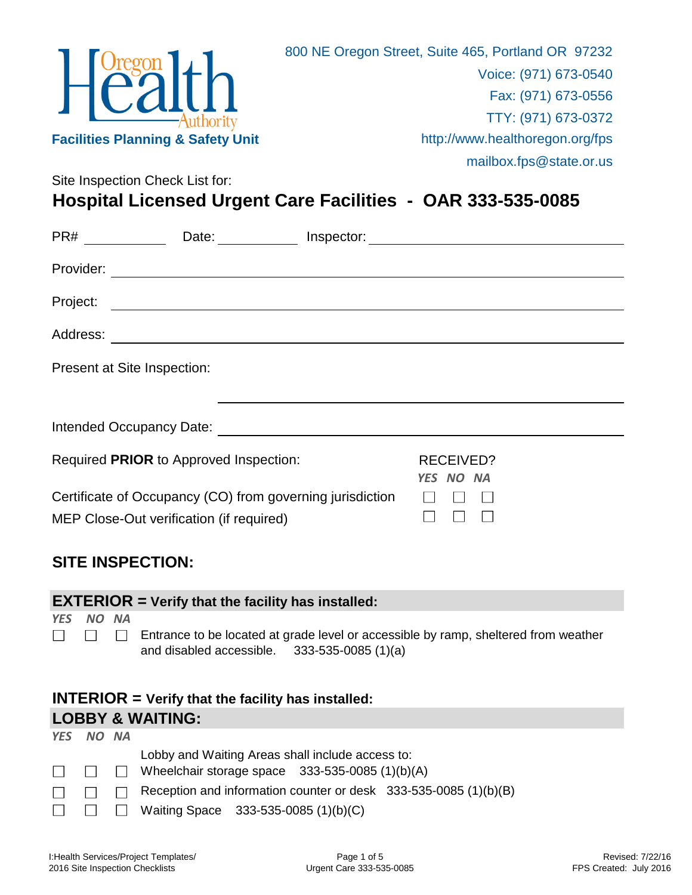

**Hospital Licensed Urgent Care Facilities - OAR 333-535-0085**

|                                                           | PR# ________________Date: ______________Inspector: _____________________________                                                                                  |                               |  |
|-----------------------------------------------------------|-------------------------------------------------------------------------------------------------------------------------------------------------------------------|-------------------------------|--|
|                                                           |                                                                                                                                                                   |                               |  |
|                                                           |                                                                                                                                                                   |                               |  |
|                                                           |                                                                                                                                                                   |                               |  |
|                                                           | Present at Site Inspection:                                                                                                                                       |                               |  |
|                                                           |                                                                                                                                                                   |                               |  |
|                                                           |                                                                                                                                                                   |                               |  |
|                                                           | Required PRIOR to Approved Inspection:                                                                                                                            | <b>RECEIVED?</b><br>YES NO NA |  |
| Certificate of Occupancy (CO) from governing jurisdiction |                                                                                                                                                                   |                               |  |
|                                                           | MEP Close-Out verification (if required)                                                                                                                          |                               |  |
|                                                           | <b>SITE INSPECTION:</b>                                                                                                                                           |                               |  |
|                                                           | <b>EXTERIOR</b> = Verify that the facility has installed:                                                                                                         |                               |  |
| <b>YES</b><br><b>NO</b>                                   | <b>NA</b><br>Entrance to be located at grade level or accessible by ramp, sheltered from weather<br>$\mathbf{1}$<br>and disabled accessible. $333-535-0085(1)(a)$ |                               |  |

## **INTERIOR = Verify that the facility has installed: LOBBY & WAITING:**

| YES NO NA            |  |                                                                  |
|----------------------|--|------------------------------------------------------------------|
|                      |  | Lobby and Waiting Areas shall include access to:                 |
|                      |  | $\Box$ $\Box$ Wheelchair storage space 333-535-0085 (1)(b)(A)    |
| $\Box$ $\Box$ $\Box$ |  | Reception and information counter or desk 333-535-0085 (1)(b)(B) |
|                      |  | $\Box$ $\Box$ Waiting Space 333-535-0085 (1)(b)(C)               |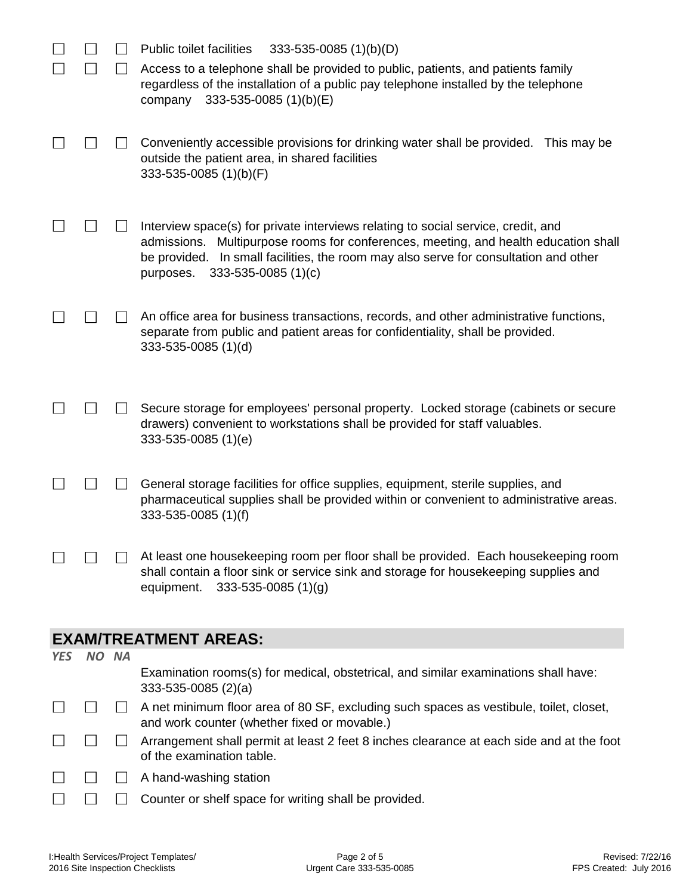|            |       | <b>Public toilet facilities</b><br>$333 - 535 - 0085$ (1)(b)(D)                                                                                                                                                                                                                                            |
|------------|-------|------------------------------------------------------------------------------------------------------------------------------------------------------------------------------------------------------------------------------------------------------------------------------------------------------------|
|            |       | Access to a telephone shall be provided to public, patients, and patients family<br>regardless of the installation of a public pay telephone installed by the telephone<br>333-535-0085 $(1)(b)(E)$<br>company                                                                                             |
|            |       | Conveniently accessible provisions for drinking water shall be provided. This may be<br>outside the patient area, in shared facilities<br>333-535-0085 (1)(b)(F)                                                                                                                                           |
|            |       | Interview space(s) for private interviews relating to social service, credit, and<br>Multipurpose rooms for conferences, meeting, and health education shall<br>admissions.<br>In small facilities, the room may also serve for consultation and other<br>be provided.<br>333-535-0085 (1)(c)<br>purposes. |
|            |       | An office area for business transactions, records, and other administrative functions,<br>separate from public and patient areas for confidentiality, shall be provided.<br>333-535-0085 (1)(d)                                                                                                            |
|            |       | Secure storage for employees' personal property. Locked storage (cabinets or secure<br>drawers) convenient to workstations shall be provided for staff valuables.<br>333-535-0085 (1)(e)                                                                                                                   |
|            |       | General storage facilities for office supplies, equipment, sterile supplies, and<br>pharmaceutical supplies shall be provided within or convenient to administrative areas.<br>333-535-0085 (1)(f)                                                                                                         |
|            |       | At least one housekeeping room per floor shall be provided. Each housekeeping room<br>shall contain a floor sink or service sink and storage for housekeeping supplies and<br>$333 - 535 - 0085(1)(g)$<br>equipment.                                                                                       |
|            |       | <b>EXAM/TREATMENT AREAS:</b>                                                                                                                                                                                                                                                                               |
| <b>YES</b> | NO NA |                                                                                                                                                                                                                                                                                                            |
|            |       | Examination rooms(s) for medical, obstetrical, and similar examinations shall have:<br>$333-535-0085(2)(a)$                                                                                                                                                                                                |
|            |       | A net minimum floor area of 80 SF, excluding such spaces as vestibule, toilet, closet,<br>and work counter (whether fixed or movable.)                                                                                                                                                                     |
|            |       | Arrangement shall permit at least 2 feet 8 inches clearance at each side and at the foot<br>of the examination table.                                                                                                                                                                                      |
|            |       | A hand-washing station                                                                                                                                                                                                                                                                                     |
|            |       | Counter or shelf space for writing shall be provided.                                                                                                                                                                                                                                                      |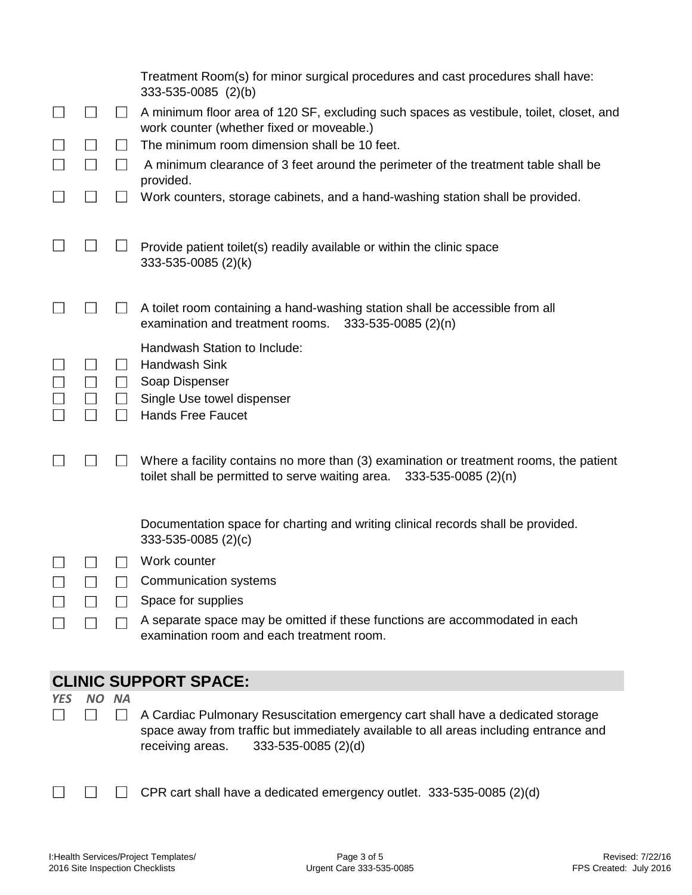|            |     |                                   | Treatment Room(s) for minor surgical procedures and cast procedures shall have:                                                                                                                                     |
|------------|-----|-----------------------------------|---------------------------------------------------------------------------------------------------------------------------------------------------------------------------------------------------------------------|
|            |     |                                   | 333-535-0085 (2)(b)                                                                                                                                                                                                 |
|            |     | $\Box$                            | A minimum floor area of 120 SF, excluding such spaces as vestibule, toilet, closet, and<br>work counter (whether fixed or moveable.)                                                                                |
|            |     | $\perp$                           | The minimum room dimension shall be 10 feet.                                                                                                                                                                        |
|            |     | $\mathsf{I}$                      | A minimum clearance of 3 feet around the perimeter of the treatment table shall be<br>provided.                                                                                                                     |
|            |     |                                   | Work counters, storage cabinets, and a hand-washing station shall be provided.                                                                                                                                      |
|            |     |                                   | Provide patient toilet(s) readily available or within the clinic space<br>333-535-0085 (2)(k)                                                                                                                       |
|            |     |                                   | A toilet room containing a hand-washing station shall be accessible from all<br>examination and treatment rooms.<br>333-535-0085 (2)(n)                                                                             |
|            |     | $\mathsf{L}$<br>$\perp$<br>$\Box$ | Handwash Station to Include:<br>Handwash Sink<br>Soap Dispenser<br>Single Use towel dispenser                                                                                                                       |
|            |     |                                   | <b>Hands Free Faucet</b>                                                                                                                                                                                            |
|            |     |                                   | Where a facility contains no more than (3) examination or treatment rooms, the patient<br>toilet shall be permitted to serve waiting area. 333-535-0085 (2)(n)                                                      |
|            |     |                                   | Documentation space for charting and writing clinical records shall be provided.<br>$333 - 535 - 0085$ (2)(c)                                                                                                       |
|            |     |                                   | Work counter                                                                                                                                                                                                        |
|            |     |                                   | Communication systems                                                                                                                                                                                               |
|            |     | $\Box$                            | Space for supplies                                                                                                                                                                                                  |
|            |     |                                   | A separate space may be omitted if these functions are accommodated in each<br>examination room and each treatment room.                                                                                            |
|            |     |                                   | <b>CLINIC SUPPORT SPACE:</b>                                                                                                                                                                                        |
| <b>YES</b> | NO. | <b>NA</b>                         |                                                                                                                                                                                                                     |
|            |     | $\mathsf{L}$                      | A Cardiac Pulmonary Resuscitation emergency cart shall have a dedicated storage<br>space away from traffic but immediately available to all areas including entrance and<br>333-535-0085 (2)(d)<br>receiving areas. |

 $\Box$  CPR cart shall have a dedicated emergency outlet. 333-535-0085 (2)(d)

 $\Box$ 

 $\Box$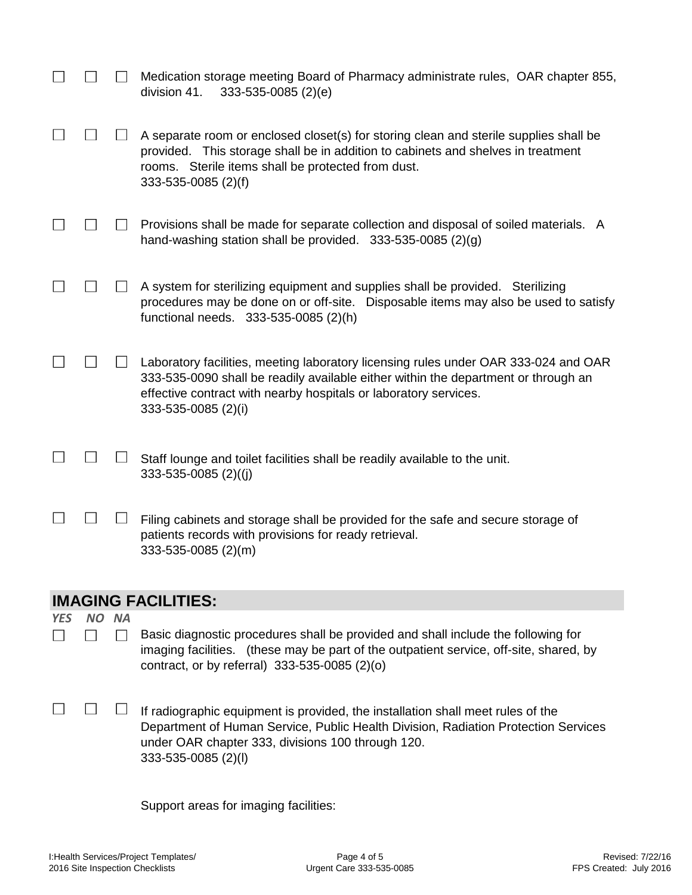|            |                            |              | Medication storage meeting Board of Pharmacy administrate rules, OAR chapter 855,<br>division 41.<br>333-535-0085 (2)(e)                                                                                                                                             |  |
|------------|----------------------------|--------------|----------------------------------------------------------------------------------------------------------------------------------------------------------------------------------------------------------------------------------------------------------------------|--|
|            |                            |              | A separate room or enclosed closet(s) for storing clean and sterile supplies shall be<br>provided. This storage shall be in addition to cabinets and shelves in treatment<br>rooms. Sterile items shall be protected from dust.<br>333-535-0085 (2)(f)               |  |
|            |                            |              | Provisions shall be made for separate collection and disposal of soiled materials. A<br>hand-washing station shall be provided. $333-535-0085$ (2)(g)                                                                                                                |  |
|            |                            |              | A system for sterilizing equipment and supplies shall be provided. Sterilizing<br>procedures may be done on or off-site. Disposable items may also be used to satisfy<br>functional needs. 333-535-0085 (2)(h)                                                       |  |
|            |                            |              | Laboratory facilities, meeting laboratory licensing rules under OAR 333-024 and OAR<br>333-535-0090 shall be readily available either within the department or through an<br>effective contract with nearby hospitals or laboratory services.<br>333-535-0085 (2)(i) |  |
|            |                            |              | Staff lounge and toilet facilities shall be readily available to the unit.<br>333-535-0085 (2)((j)                                                                                                                                                                   |  |
|            |                            |              | Filing cabinets and storage shall be provided for the safe and secure storage of<br>patients records with provisions for ready retrieval.<br>333-535-0085 (2)(m)                                                                                                     |  |
|            | <b>IMAGING FACILITIES:</b> |              |                                                                                                                                                                                                                                                                      |  |
| <b>YES</b> | <b>NO</b>                  | <b>NA</b>    |                                                                                                                                                                                                                                                                      |  |
|            |                            | $\mathsf{L}$ | Basic diagnostic procedures shall be provided and shall include the following for<br>imaging facilities. (these may be part of the outpatient service, off-site, shared, by<br>contract, or by referral) 333-535-0085 (2)(o)                                         |  |
|            |                            |              | If radiographic equipment is provided, the installation shall meet rules of the<br>Department of Human Service, Public Health Division, Radiation Protection Services<br>under OAR chapter 333, divisions 100 through 120.<br>333-535-0085 (2)(l)                    |  |

Support areas for imaging facilities: